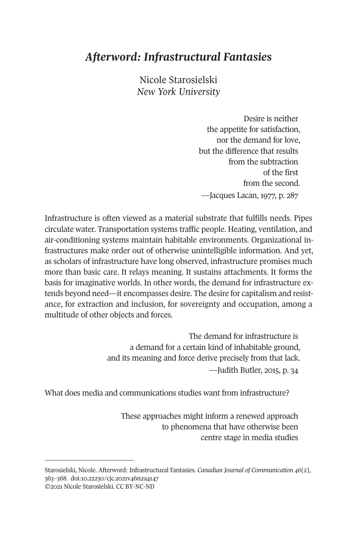## *Afterword: Infrastructural Fantasies*

Nicole Starosielski *New York University* 

> Desire is neither the appetite for satisfaction, nor the demand for love, but the difference that results from the subtraction of the first from the second. —Jacques Lacan, 1977, p. 287

Infrastructure is often viewed as a material substrate that fulfills needs. Pipes circulate water. Transportation systems traffic people. Heating, ventilation, and air-conditioning systems maintain habitable environments. Organizational infrastructures make order out of otherwise unintelligible information. And yet, as scholars of infrastructure have long observed, infrastructure promises much more than basic care. It relays meaning. It sustains attachments. It forms the basis for imaginative worlds. In other words, the demand for infrastructure extends beyond need—it encompasses desire. The desire for capitalism and resistance, for extraction and inclusion, for sovereignty and occupation, among a multitude of other objects and forces.

> The demand for infrastructure is a demand for a certain kind of inhabitable ground, [and its meaning](https://doi.org/10.22230/cjc.2021v46n2a4147) and force derive precisely from that lack.

> > —Judith Butler, 2015, p. 34

What does media and communications studies want from infrastructure?

These approaches might inform a renewed approach to phenomena that have otherwise been centre stage in media studies

Starosielski, Nicole. Afterword: Infrastructural Fantasies. *Canadian Journal of Communication 46*(2), 363–368. doi:10.22230/cjc.2021v46n2a4147 ©2021 Nicole Starosielski. CC BY-NC-ND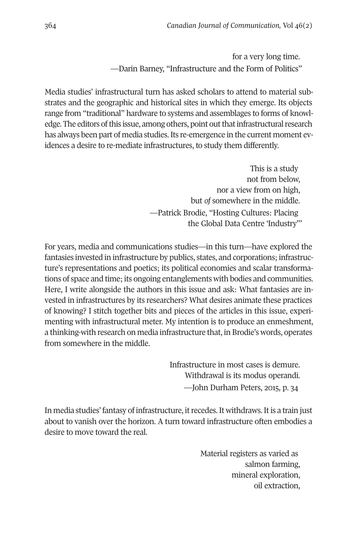364 *Canadian Journal of Communication,* Vol 46(2)

for a very long time. —Darin Barney, "Infrastructure and the Form of Politics"

Media studies' infrastructural turn has asked scholars to attend to material substrates and the geographic and historical sites in which they emerge. Its objects range from "traditional" hardware to systems and assemblages to forms of knowledge. The editors of this issue, among others, point out that infrastructural research has always been part of media studies. Its re-emergence in the current moment evidences a desire to re-mediate infrastructures, to study them differently.

> This is a study not from below, nor a view from on high, but *of* somewhere in the middle. —Patrick Brodie, "Hosting Cultures: Placing the Global Data Centre 'Industry'"

For years, media and communications studies—in this turn—have explored the fantasies invested in infrastructure by publics, states, and corporations; infrastructure's representations and poetics; its political economies and scalar transformations of space and time; its ongoing entanglements with bodies and communities. Here, I write alongside the authors in this issue and ask: What fantasies are invested in infrastructures by its researchers? What desires animate these practices of knowing? I stitch together bits and pieces of the articles in this issue, experimenting with infrastructural meter. My intention is to produce an enmeshment, a thinking-with research on media infrastructure that, in Brodie's words, operates from somewhere in the middle.

> Infrastructure in most cases is demure. Withdrawal is its modus operandi. —John Durham Peters, 2015, p. 34

In media studies' fantasy of infrastructure, it recedes. It withdraws. It is a train just about to vanish over the horizon. A turn toward infrastructure often embodies a desire to move toward the real.

> Material registers as varied as salmon farming, mineral exploration, oil extraction,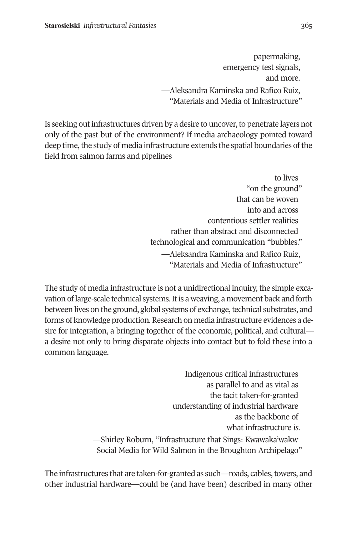papermaking, emergency test signals, and more. —Aleksandra Kaminska and Rafico Ruiz, "Materials and Media of Infrastructure"

Is seeking out infrastructures driven by a desire to uncover, to penetrate layers not only of the past but of the environment? If media archaeology pointed toward deep time, the study of media infrastructure extends the spatial boundaries of the field from salmon farms and pipelines

> to lives "on the ground" that can be woven into and across contentious settler realities rather than abstract and disconnected technological and communication "bubbles." —Aleksandra Kaminska and Rafico Ruiz, "Materials and Media of Infrastructure"

The study of media infrastructure is not a unidirectional inquiry, the simple excavation of large-scale technical systems. It is a weaving, a movement back and forth between lives on the ground, global systems of exchange, technical substrates, and forms of knowledge production. Research on media infrastructure evidences a desire for integration, a bringing together of the economic, political, and cultural a desire not only to bring disparate objects into contact but to fold these into a common language.

> Indigenous critical infrastructures as parallel to and as vital as the tacit taken-for-granted understanding of industrial hardware as the backbone of what infrastructure *is*. —Shirley Roburn, "Infrastructure that Sings: Kwawaka'wakw Social Media for Wild Salmon in the Broughton Archipelago"

The infrastructures that are taken-for-granted as such—roads, cables, towers, and other industrial hardware—could be (and have been) described in many other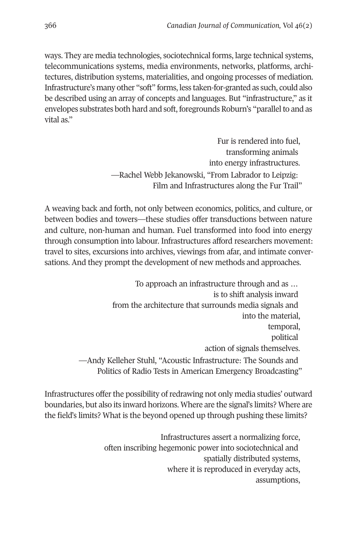366 *Canadian Journal of Communication,* Vol 46(2)

ways. They are media technologies, sociotechnical forms, large technical systems, telecommunications systems, media environments, networks, platforms, architectures, distribution systems, materialities, and ongoing processes of mediation. Infrastructure's many other "soft" forms, less taken-for-granted as such, could also be described using an array of concepts and languages. But "infrastructure," as it envelopes substrates both hard and soft, foregrounds Roburn's "parallel to and as vital as."

> Fur is rendered into fuel, transforming animals into energy infrastructures. —Rachel Webb Jekanowski, "From Labrador to Leipzig: Film and Infrastructures along the Fur Trail"

A weaving back and forth, not only between economics, politics, and culture, or between bodies and towers—these studies offer transductions between nature and culture, non-human and human. Fuel transformed into food into energy through consumption into labour. Infrastructures afford researchers movement: travel to sites, excursions into archives, viewings from afar, and intimate conversations. And they prompt the development of new methods and approaches.

> To approach an infrastructure through and as … is to shift analysis inward from the architecture that surrounds media signals and into the material, temporal, political action of signals themselves. —Andy Kelleher Stuhl, "Acoustic Infrastructure: The Sounds and Politics of Radio Tests in American Emergency Broadcasting"

Infrastructures offer the possibility of redrawing not only media studies' outward boundaries, but also its inward horizons. Where are the signal's limits? Where are the field's limits? What is the beyond opened up through pushing these limits?

> Infrastructures assert a normalizing force, often inscribing hegemonic power into sociotechnical and spatially distributed systems, where it is reproduced in everyday acts, assumptions,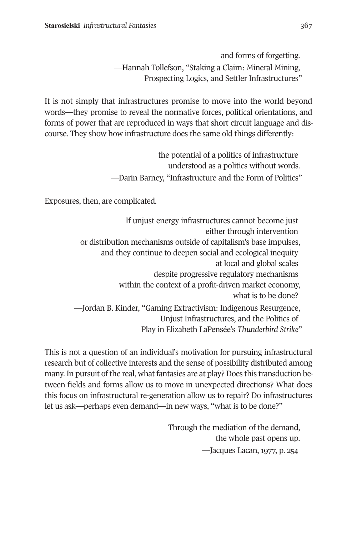and forms of forgetting. —Hannah Tollefson, "Staking a Claim: Mineral Mining, Prospecting Logics, and Settler Infrastructures"

It is not simply that infrastructures promise to move into the world beyond words—they promise to reveal the normative forces, political orientations, and forms of power that are reproduced in ways that short circuit language and discourse. They show how infrastructure does the same old things differently:

> the potential of a politics of infrastructure understood as a politics without words. —Darin Barney, "Infrastructure and the Form of Politics"

Exposures, then, are complicated.

If unjust energy infrastructures cannot become just either through intervention or distribution mechanisms outside of capitalism's base impulses, and they continue to deepen social and ecological inequity at local and global scales despite progressive regulatory mechanisms within the context of a profit-driven market economy, what is to be done? —Jordan B. Kinder, "Gaming Extractivism: Indigenous Resurgence, Unjust Infrastructures, and the Politics of Play in Elizabeth LaPensée's *Thunderbird Strike*"

This is not a question of an individual's motivation for pursuing infrastructural research but of collective interests and the sense of possibility distributed among many. In pursuit of the real, what fantasies are at play? Does this transduction between fields and forms allow us to move in unexpected directions? What does this focus on infrastructural re-generation allow us to repair? Do infrastructures let us ask—perhaps even demand—in new ways, "what is to be done?"

> Through the mediation of the demand, the whole past opens up. —Jacques Lacan, 1977, p. 254